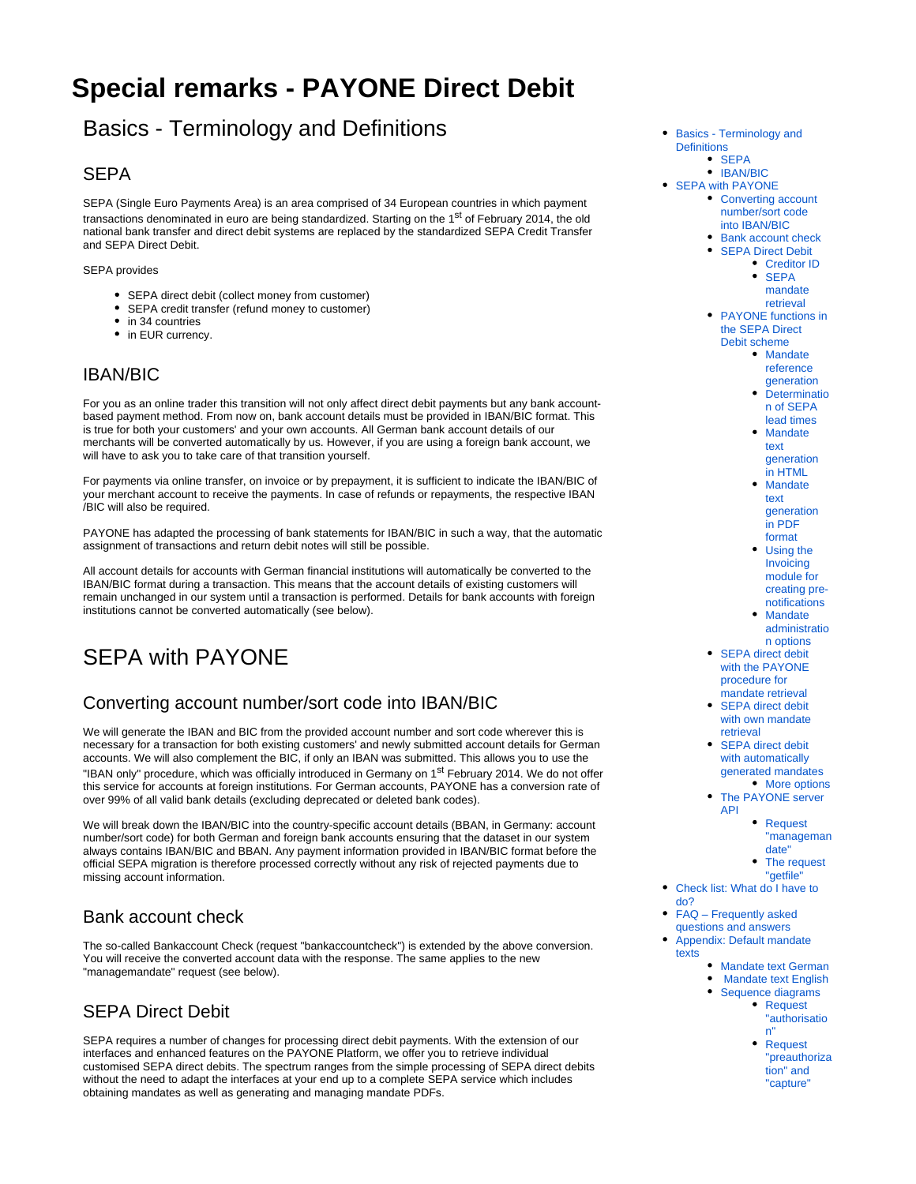# <span id="page-0-8"></span>**Special remarks - PAYONE Direct Debit**

# <span id="page-0-0"></span>Basics - Terminology and Definitions

## <span id="page-0-1"></span>**SEPA**

SEPA (Single Euro Payments Area) is an area comprised of 34 European countries in which payment transactions denominated in euro are being standardized. Starting on the 1<sup>st</sup> of February 2014, the old national bank transfer and direct debit systems are replaced by the standardized SEPA Credit Transfer and SEPA Direct Debit.

SEPA provides

- SEPA direct debit (collect money from customer)
- SEPA credit transfer (refund money to customer)
- in 34 countries • in EUR currency.

# <span id="page-0-2"></span>IBAN/BIC

For you as an online trader this transition will not only affect direct debit payments but any bank accountbased payment method. From now on, bank account details must be provided in IBAN/BIC format. This is true for both your customers' and your own accounts. All German bank account details of our merchants will be converted automatically by us. However, if you are using a foreign bank account, we will have to ask you to take care of that transition yourself.

For payments via online transfer, on invoice or by prepayment, it is sufficient to indicate the IBAN/BIC of your merchant account to receive the payments. In case of refunds or repayments, the respective IBAN /BIC will also be required.

PAYONE has adapted the processing of bank statements for IBAN/BIC in such a way, that the automatic assignment of transactions and return debit notes will still be possible.

All account details for accounts with German financial institutions will automatically be converted to the IBAN/BIC format during a transaction. This means that the account details of existing customers will remain unchanged in our system until a transaction is performed. Details for bank accounts with foreign institutions cannot be converted automatically (see below).

# <span id="page-0-3"></span>SEPA with PAYONE

# <span id="page-0-4"></span>Converting account number/sort code into IBAN/BIC

We will generate the IBAN and BIC from the provided account number and sort code wherever this is necessary for a transaction for both existing customers' and newly submitted account details for German accounts. We will also complement the BIC, if only an IBAN was submitted. This allows you to use the "IBAN only" procedure, which was officially introduced in Germany on 1<sup>st</sup> February 2014. We do not offer this service for accounts at foreign institutions. For German accounts, PAYONE has a conversion rate of over 99% of all valid bank details (excluding deprecated or deleted bank codes).

We will break down the IBAN/BIC into the country-specific account details (BBAN, in Germany: account number/sort code) for both German and foreign bank accounts ensuring that the dataset in our system always contains IBAN/BIC and BBAN. Any payment information provided in IBAN/BIC format before the official SEPA migration is therefore processed correctly without any risk of rejected payments due to missing account information.

# <span id="page-0-5"></span>Bank account check

The so-called Bankaccount Check (request "bankaccountcheck") is extended by the above conversion. You will receive the converted account data with the response. The same applies to the new "managemandate" request (see below).

# <span id="page-0-6"></span>SEPA Direct Debit

<span id="page-0-7"></span>SEPA requires a number of changes for processing direct debit payments. With the extension of our interfaces and enhanced features on the PAYONE Platform, we offer you to retrieve individual customised SEPA direct debits. The spectrum ranges from the simple processing of SEPA direct debits without the need to adapt the interfaces at your end up to a complete SEPA service which includes obtaining mandates as well as generating and managing mandate PDFs.

- [Basics Terminology and](#page-0-0)  **[Definitions](#page-0-0)** 
	- $\bullet$  SFPA
	- [IBAN/BIC](#page-0-2)
- [SEPA with PAYONE](#page-0-3)
	- Converting account [number/sort code](#page-0-4)  [into IBAN/BIC](#page-0-4)
		- [Bank account check](#page-0-5)
		- **[SEPA Direct Debit](#page-0-6)** [Creditor ID](#page-0-7)
			- SEPA [mandate](#page-1-0)
			- [retrieval](#page-1-0)
	- PAYONE functions in [the SEPA Direct](#page-1-1)  [Debit scheme](#page-1-1)
		- Mandate [reference](#page-1-2) 
			- [generation](#page-1-2) • [Determinatio](#page-1-3)
			- [n of SEPA](#page-1-3)  [lead times](#page-1-3) • Mandate
			- [text](#page-1-4)  [generation](#page-1-4)  [in HTML](#page-1-4)
			- Mandate [text](#page-1-5)  [generation](#page-1-5)  [in PDF](#page-1-5)
			- [format](#page-1-5) [Using the](#page-2-0)  [Invoicing](#page-2-0)  [module for](#page-2-0)  [creating pre](#page-2-0)[notifications](#page-2-0)
			- Mandate [administratio](#page-2-1) [n options](#page-2-1)
	- SEPA direct debit [with the PAYONE](#page-2-2)  [procedure for](#page-2-2)  [mandate retrieval](#page-2-2)
	- SEPA direct debit [with own mandate](#page-3-0)  [retrieval](#page-3-0)
	- SEPA direct debit with automatically [generated mandates](#page-3-1)
	- [More options](#page-4-0) • The PAYONE server [API](#page-4-1)
		- [Request](#page-4-2)
		- ["manageman](#page-4-2)
			- [date"](#page-4-2)
		- The request ["getfile"](#page-4-3)
- [Check list: What do I have to](#page-4-4)  [do?](#page-4-4)
- FAQ Frequently asked
- [questions and answers](#page-5-0)
- [Appendix: Default mandate](#page-6-0)  [texts](#page-6-0)
	- [Mandate text German](#page-6-1)
	- [Mandate text English](#page-7-0)
	- [Sequence diagrams](#page-7-1) • Request ["authorisatio](#page-7-2)
		- [n"](#page-7-2) • Request
		- ["preauthoriza](#page-7-3) [tion" and](#page-7-3)  ["capture"](#page-7-3)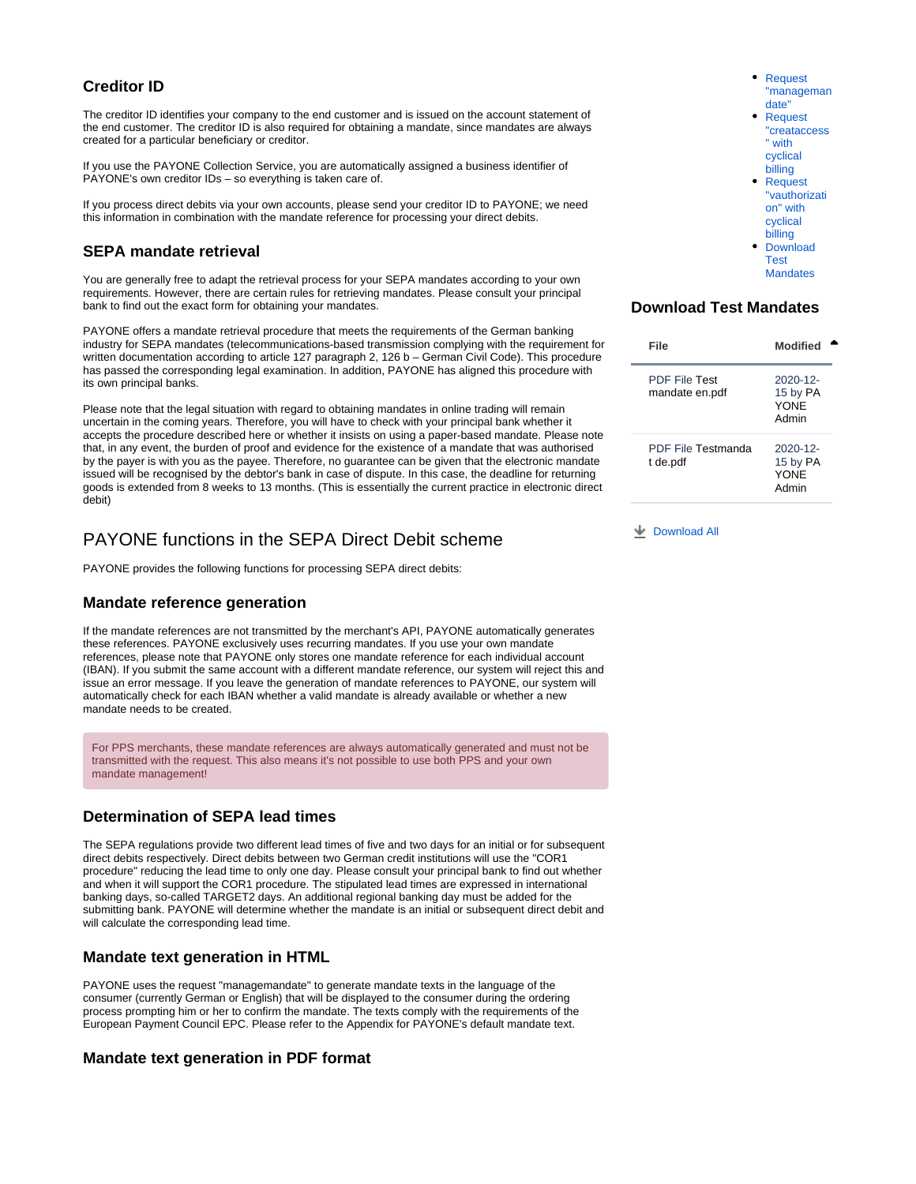## **Creditor ID**

The creditor ID identifies your company to the end customer and is issued on the account statement of the end customer. The creditor ID is also required for obtaining a mandate, since mandates are always created for a particular beneficiary or creditor.

If you use the PAYONE Collection Service, you are automatically assigned a business identifier of PAYONE's own creditor IDs – so everything is taken care of.

If you process direct debits via your own accounts, please send your creditor ID to PAYONE; we need this information in combination with the mandate reference for processing your direct debits.

## <span id="page-1-0"></span>**SEPA mandate retrieval**

<span id="page-1-6"></span>You are generally free to adapt the retrieval process for your SEPA mandates according to your own requirements. However, there are certain rules for retrieving mandates. Please consult your principal bank to find out the exact form for obtaining your mandates.

PAYONE offers a mandate retrieval procedure that meets the requirements of the German banking industry for SEPA mandates (telecommunications-based transmission complying with the requirement for written documentation according to article 127 paragraph 2, 126 b – German Civil Code). This procedure has passed the corresponding legal examination. In addition, PAYONE has aligned this procedure with its own principal banks.

Please note that the legal situation with regard to obtaining mandates in online trading will remain uncertain in the coming years. Therefore, you will have to check with your principal bank whether it accepts the procedure described here or whether it insists on using a paper-based mandate. Please note that, in any event, the burden of proof and evidence for the existence of a mandate that was authorised by the payer is with you as the payee. Therefore, no guarantee can be given that the electronic mandate issued will be recognised by the debtor's bank in case of dispute. In this case, the deadline for returning goods is extended from 8 weeks to 13 months. (This is essentially the current practice in electronic direct debit)

## <span id="page-1-1"></span>PAYONE functions in the SEPA Direct Debit scheme

PAYONE provides the following functions for processing SEPA direct debits:

## <span id="page-1-2"></span>**Mandate reference generation**

If the mandate references are not transmitted by the merchant's API, PAYONE automatically generates these references. PAYONE exclusively uses recurring mandates. If you use your own mandate references, please note that PAYONE only stores one mandate reference for each individual account (IBAN). If you submit the same account with a different mandate reference, our system will reject this and issue an error message. If you leave the generation of mandate references to PAYONE, our system will automatically check for each IBAN whether a valid mandate is already available or whether a new mandate needs to be created.

For PPS merchants, these mandate references are always automatically generated and must not be transmitted with the request. This also means it's not possible to use both PPS and your own mandate management!

## <span id="page-1-3"></span>**Determination of SEPA lead times**

The SEPA regulations provide two different lead times of five and two days for an initial or for subsequent direct debits respectively. Direct debits between two German credit institutions will use the "COR1 procedure" reducing the lead time to only one day. Please consult your principal bank to find out whether and when it will support the COR1 procedure. The stipulated lead times are expressed in international banking days, so-called TARGET2 days. An additional regional banking day must be added for the submitting bank. PAYONE will determine whether the mandate is an initial or subsequent direct debit and will calculate the corresponding lead time.

### <span id="page-1-4"></span>**Mandate text generation in HTML**

PAYONE uses the request "managemandate" to generate mandate texts in the language of the consumer (currently German or English) that will be displayed to the consumer during the ordering process prompting him or her to confirm the mandate. The texts comply with the requirements of the European Payment Council EPC. Please refer to the Appendix for PAYONE's default mandate text.

### <span id="page-1-5"></span>**Mandate text generation in PDF format**

[Request](#page-8-0)  ["manageman](#page-8-0) [date"](#page-8-0) [Request](#page-8-1)  ["creataccess](#page-8-1) with [cyclical](#page-8-1)  [billing](#page-8-1) **Request** ["vauthorizati](#page-9-0) [on" with](#page-9-0)  [cyclical](#page-9-0)  [billing](#page-9-0) [Download](#page-1-6)  [Test](#page-1-6)  **[Mandates](#page-1-6)** 

## **Download Test Mandates**

| File                                   | Modified                                   |
|----------------------------------------|--------------------------------------------|
| <b>PDF File Test</b><br>mandate en.pdf | $2020 - 12$<br>15 by PA<br>YONF<br>Admin   |
| PDF File Testmanda<br>t de.pdf         | $2020 - 12$ -<br>15 by PA<br>YONF<br>Admin |

**L** [Download All](https://docs.payone.com/pages/downloadallattachments.action?pageId=3935580)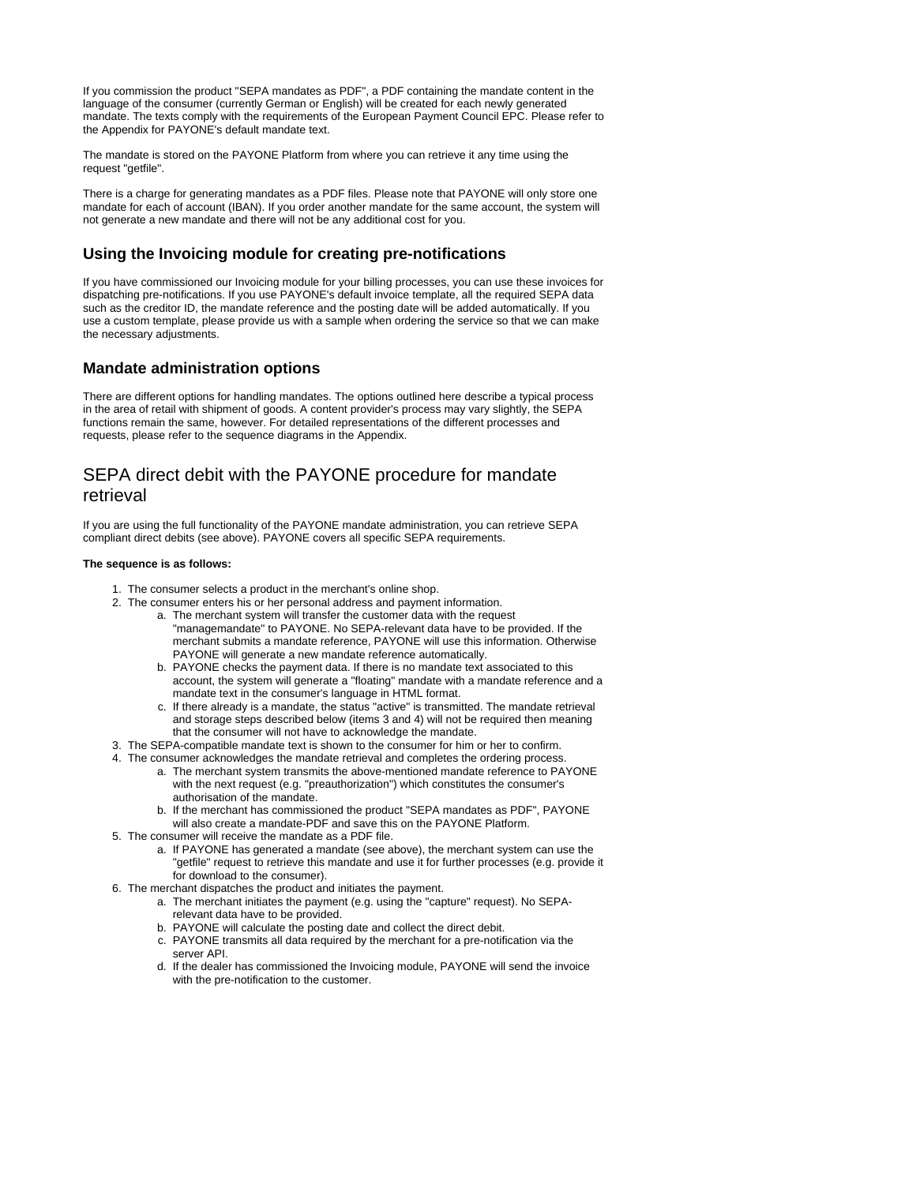If you commission the product "SEPA mandates as PDF", a PDF containing the mandate content in the language of the consumer (currently German or English) will be created for each newly generated mandate. The texts comply with the requirements of the European Payment Council EPC. Please refer to the Appendix for PAYONE's default mandate text.

The mandate is stored on the PAYONE Platform from where you can retrieve it any time using the request "getfile".

There is a charge for generating mandates as a PDF files. Please note that PAYONE will only store one mandate for each of account (IBAN). If you order another mandate for the same account, the system will not generate a new mandate and there will not be any additional cost for you.

## <span id="page-2-0"></span>**Using the Invoicing module for creating pre-notifications**

If you have commissioned our Invoicing module for your billing processes, you can use these invoices for dispatching pre-notifications. If you use PAYONE's default invoice template, all the required SEPA data such as the creditor ID, the mandate reference and the posting date will be added automatically. If you use a custom template, please provide us with a sample when ordering the service so that we can make the necessary adjustments.

## <span id="page-2-1"></span>**Mandate administration options**

There are different options for handling mandates. The options outlined here describe a typical process in the area of retail with shipment of goods. A content provider's process may vary slightly, the SEPA functions remain the same, however. For detailed representations of the different processes and requests, please refer to the sequence diagrams in the Appendix.

# <span id="page-2-2"></span>SEPA direct debit with the PAYONE procedure for mandate retrieval

If you are using the full functionality of the PAYONE mandate administration, you can retrieve SEPA compliant direct debits (see above). PAYONE covers all specific SEPA requirements.

#### **The sequence is as follows:**

- 1. The consumer selects a product in the merchant's online shop.
- 2. The consumer enters his or her personal address and payment information.
	- a. The merchant system will transfer the customer data with the request "managemandate" to PAYONE. No SEPA-relevant data have to be provided. If the merchant submits a mandate reference, PAYONE will use this information. Otherwise PAYONE will generate a new mandate reference automatically.
	- b. PAYONE checks the payment data. If there is no mandate text associated to this account, the system will generate a "floating" mandate with a mandate reference and a mandate text in the consumer's language in HTML format.
	- c. If there already is a mandate, the status "active" is transmitted. The mandate retrieval and storage steps described below (items 3 and 4) will not be required then meaning that the consumer will not have to acknowledge the mandate.
- 3. The SEPA-compatible mandate text is shown to the consumer for him or her to confirm.
- 4. The consumer acknowledges the mandate retrieval and completes the ordering process.
	- a. The merchant system transmits the above-mentioned mandate reference to PAYONE with the next request (e.g. "preauthorization") which constitutes the consumer's authorisation of the mandate.
	- b. If the merchant has commissioned the product "SEPA mandates as PDF", PAYONE will also create a mandate-PDF and save this on the PAYONE Platform.
- 5. The consumer will receive the mandate as a PDF file.
	- a. If PAYONE has generated a mandate (see above), the merchant system can use the "getfile" request to retrieve this mandate and use it for further processes (e.g. provide it for download to the consumer).
- 6. The merchant dispatches the product and initiates the payment.
	- a. The merchant initiates the payment (e.g. using the "capture" request). No SEPArelevant data have to be provided.
	- b. PAYONE will calculate the posting date and collect the direct debit.
	- c. PAYONE transmits all data required by the merchant for a pre-notification via the server API.
	- d. If the dealer has commissioned the Invoicing module, PAYONE will send the invoice with the pre-notification to the customer.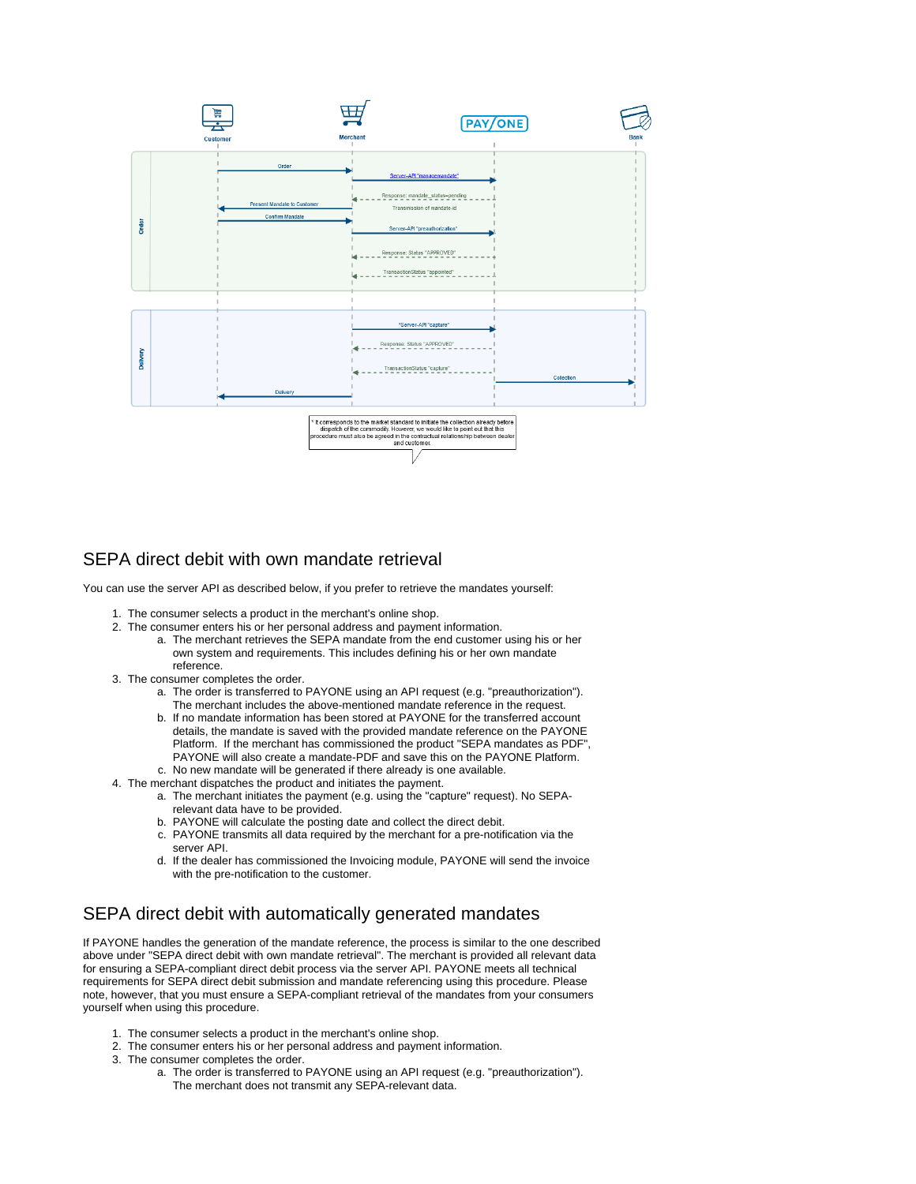

## <span id="page-3-0"></span>SEPA direct debit with own mandate retrieval

You can use the server API as described below, if you prefer to retrieve the mandates yourself:

- 1. The consumer selects a product in the merchant's online shop.
- 2. The consumer enters his or her personal address and payment information.
	- a. The merchant retrieves the SEPA mandate from the end customer using his or her own system and requirements. This includes defining his or her own mandate reference.
- 3. The consumer completes the order.
	- a. The order is transferred to PAYONE using an API request (e.g. "preauthorization"). The merchant includes the above-mentioned mandate reference in the request.
	- b. If no mandate information has been stored at PAYONE for the transferred account c. No new mandate will be generated if there already is one available. details, the mandate is saved with the provided mandate reference on the PAYONE Platform. If the merchant has commissioned the product "SEPA mandates as PDF", PAYONE will also create a mandate-PDF and save this on the PAYONE Platform.
- 4. The merchant dispatches the product and initiates the payment.
	- a. The merchant initiates the payment (e.g. using the "capture" request). No SEPArelevant data have to be provided.
	- b. PAYONE will calculate the posting date and collect the direct debit.
	- c. PAYONE transmits all data required by the merchant for a pre-notification via the server API.
	- d. If the dealer has commissioned the Invoicing module, PAYONE will send the invoice with the pre-notification to the customer.

## <span id="page-3-1"></span>SEPA direct debit with automatically generated mandates

If PAYONE handles the generation of the mandate reference, the process is similar to the one described above under "SEPA direct debit with own mandate retrieval". The merchant is provided all relevant data for ensuring a SEPA-compliant direct debit process via the server API. PAYONE meets all technical requirements for SEPA direct debit submission and mandate referencing using this procedure. Please note, however, that you must ensure a SEPA-compliant retrieval of the mandates from your consumers yourself when using this procedure.

- 1. The consumer selects a product in the merchant's online shop.
- 2. The consumer enters his or her personal address and payment information.
- 3. The consumer completes the order.
	- a. The order is transferred to PAYONE using an API request (e.g. "preauthorization"). The merchant does not transmit any SEPA-relevant data.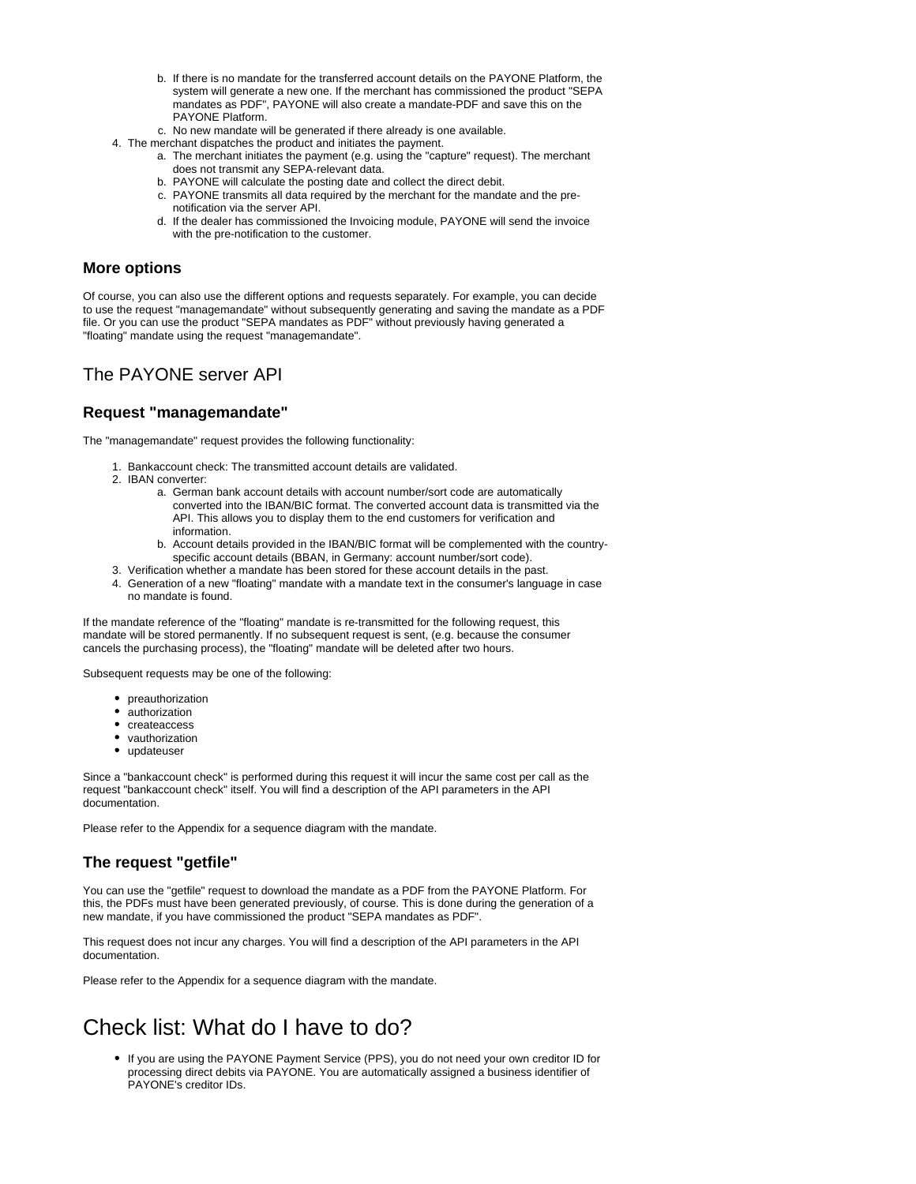- b. If there is no mandate for the transferred account details on the PAYONE Platform, the system will generate a new one. If the merchant has commissioned the product "SEPA mandates as PDF", PAYONE will also create a mandate-PDF and save this on the PAYONE Platform.
- c. No new mandate will be generated if there already is one available.
- 4. The merchant dispatches the product and initiates the payment.
	- a. The merchant initiates the payment (e.g. using the "capture" request). The merchant does not transmit any SEPA-relevant data.
	- b. PAYONE will calculate the posting date and collect the direct debit.
	- c. PAYONE transmits all data required by the merchant for the mandate and the prenotification via the server API.
	- d. If the dealer has commissioned the Invoicing module, PAYONE will send the invoice with the pre-notification to the customer.

### <span id="page-4-0"></span>**More options**

Of course, you can also use the different options and requests separately. For example, you can decide to use the request "managemandate" without subsequently generating and saving the mandate as a PDF file. Or you can use the product "SEPA mandates as PDF" without previously having generated a "floating" mandate using the request "managemandate".

# <span id="page-4-1"></span>The PAYONE server API

## <span id="page-4-2"></span>**Request "managemandate"**

The "managemandate" request provides the following functionality:

- 1. Bankaccount check: The transmitted account details are validated.
- 2. IBAN converter:
	- a. German bank account details with account number/sort code are automatically converted into the IBAN/BIC format. The converted account data is transmitted via the API. This allows you to display them to the end customers for verification and information.
	- b. Account details provided in the IBAN/BIC format will be complemented with the countryspecific account details (BBAN, in Germany: account number/sort code).
- 3. Verification whether a mandate has been stored for these account details in the past.
- 4. Generation of a new "floating" mandate with a mandate text in the consumer's language in case no mandate is found.

If the mandate reference of the "floating" mandate is re-transmitted for the following request, this mandate will be stored permanently. If no subsequent request is sent, (e.g. because the consumer cancels the purchasing process), the "floating" mandate will be deleted after two hours.

Subsequent requests may be one of the following:

- preauthorization
- authorization
- createaccess
- vauthorization
- updateuser

Since a "bankaccount check" is performed during this request it will incur the same cost per call as the request "bankaccount check" itself. You will find a description of the API parameters in the API documentation.

Please refer to the Appendix for a sequence diagram with the mandate.

## <span id="page-4-3"></span>**The request "getfile"**

You can use the "getfile" request to download the mandate as a PDF from the PAYONE Platform. For this, the PDFs must have been generated previously, of course. This is done during the generation of a new mandate, if you have commissioned the product "SEPA mandates as PDF".

This request does not incur any charges. You will find a description of the API parameters in the API documentation.

Please refer to the Appendix for a sequence diagram with the mandate.

# <span id="page-4-4"></span>Check list: What do I have to do?

If you are using the PAYONE Payment Service (PPS), you do not need your own creditor ID for processing direct debits via PAYONE. You are automatically assigned a business identifier of PAYONE's creditor IDs.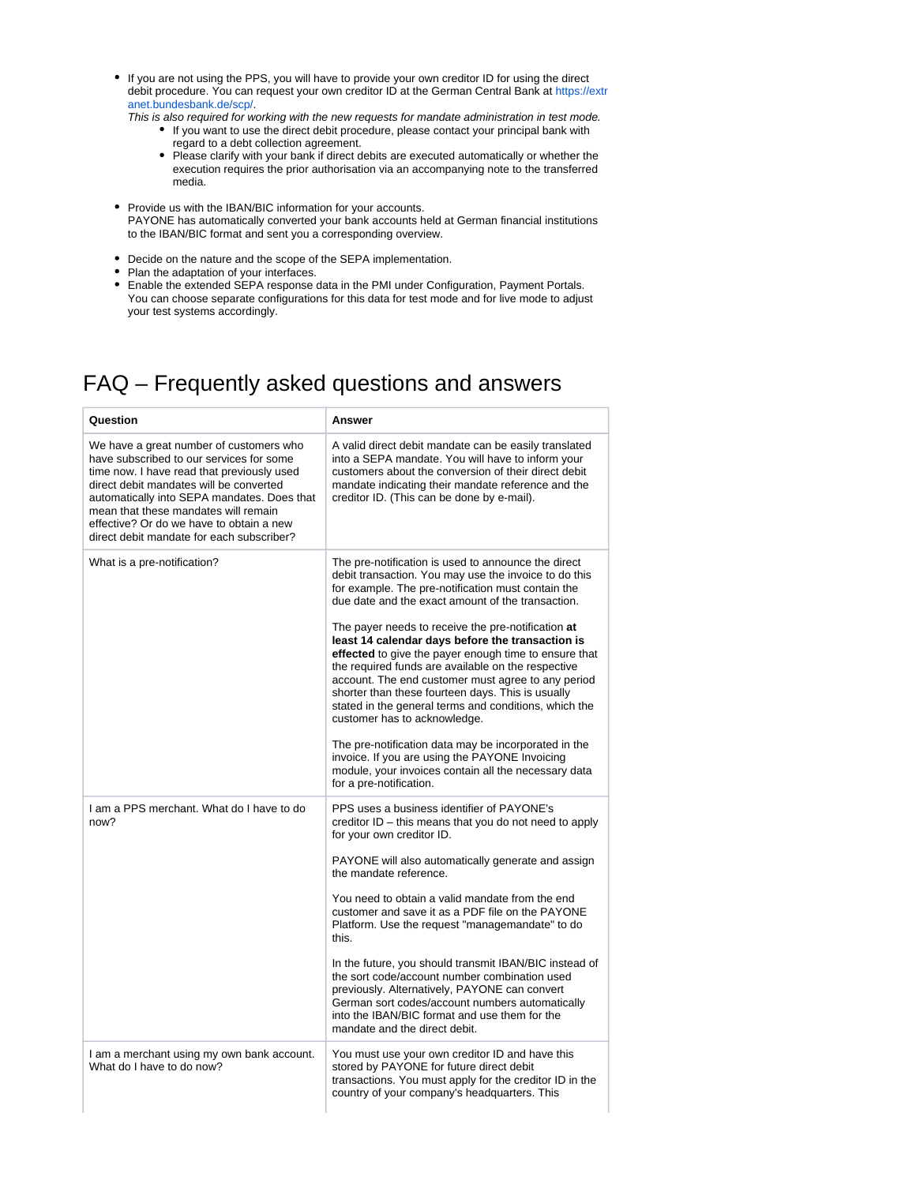- If you are not using the PPS, you will have to provide your own creditor ID for using the direct debit procedure. You can request your own creditor ID at the German Central Bank at [https://extr](https://extranet.bundesbank.de/scp/) [anet.bundesbank.de/scp/](https://extranet.bundesbank.de/scp/).
	- This is also required for working with the new requests for mandate administration in test mode. If you want to use the direct debit procedure, please contact your principal bank with
		- regard to a debt collection agreement.
		- Please clarify with your bank if direct debits are executed automatically or whether the execution requires the prior authorisation via an accompanying note to the transferred media.
- Provide us with the IBAN/BIC information for your accounts. PAYONE has automatically converted your bank accounts held at German financial institutions to the IBAN/BIC format and sent you a corresponding overview.
- Decide on the nature and the scope of the SEPA implementation.
- Plan the adaptation of your interfaces.
- $\bullet$ Enable the extended SEPA response data in the PMI under Configuration, Payment Portals. You can choose separate configurations for this data for test mode and for live mode to adjust your test systems accordingly.

# <span id="page-5-0"></span>FAQ – Frequently asked questions and answers

| Question                                                                                                                                                                                                                                                                                                                                                     | Answer                                                                                                                                                                                                                                                                                                                                                                                                                                                                                                                                                                                                                                                                                                                                                                                                                                            |
|--------------------------------------------------------------------------------------------------------------------------------------------------------------------------------------------------------------------------------------------------------------------------------------------------------------------------------------------------------------|---------------------------------------------------------------------------------------------------------------------------------------------------------------------------------------------------------------------------------------------------------------------------------------------------------------------------------------------------------------------------------------------------------------------------------------------------------------------------------------------------------------------------------------------------------------------------------------------------------------------------------------------------------------------------------------------------------------------------------------------------------------------------------------------------------------------------------------------------|
| We have a great number of customers who<br>have subscribed to our services for some<br>time now. I have read that previously used<br>direct debit mandates will be converted<br>automatically into SEPA mandates. Does that<br>mean that these mandates will remain<br>effective? Or do we have to obtain a new<br>direct debit mandate for each subscriber? | A valid direct debit mandate can be easily translated<br>into a SEPA mandate. You will have to inform your<br>customers about the conversion of their direct debit<br>mandate indicating their mandate reference and the<br>creditor ID. (This can be done by e-mail).                                                                                                                                                                                                                                                                                                                                                                                                                                                                                                                                                                            |
| What is a pre-notification?                                                                                                                                                                                                                                                                                                                                  | The pre-notification is used to announce the direct<br>debit transaction. You may use the invoice to do this<br>for example. The pre-notification must contain the<br>due date and the exact amount of the transaction.<br>The payer needs to receive the pre-notification at<br>least 14 calendar days before the transaction is<br>effected to give the payer enough time to ensure that<br>the required funds are available on the respective<br>account. The end customer must agree to any period<br>shorter than these fourteen days. This is usually<br>stated in the general terms and conditions, which the<br>customer has to acknowledge.<br>The pre-notification data may be incorporated in the<br>invoice. If you are using the PAYONE Invoicing<br>module, your invoices contain all the necessary data<br>for a pre-notification. |
| I am a PPS merchant. What do I have to do<br>now?                                                                                                                                                                                                                                                                                                            | PPS uses a business identifier of PAYONE's<br>creditor ID - this means that you do not need to apply<br>for your own creditor ID.<br>PAYONE will also automatically generate and assign<br>the mandate reference.<br>You need to obtain a valid mandate from the end<br>customer and save it as a PDF file on the PAYONE<br>Platform. Use the request "managemandate" to do<br>this.<br>In the future, you should transmit IBAN/BIC instead of<br>the sort code/account number combination used<br>previously. Alternatively, PAYONE can convert<br>German sort codes/account numbers automatically<br>into the IBAN/BIC format and use them for the<br>mandate and the direct debit.                                                                                                                                                             |
| I am a merchant using my own bank account.<br>What do I have to do now?                                                                                                                                                                                                                                                                                      | You must use your own creditor ID and have this<br>stored by PAYONE for future direct debit<br>transactions. You must apply for the creditor ID in the<br>country of your company's headquarters. This                                                                                                                                                                                                                                                                                                                                                                                                                                                                                                                                                                                                                                            |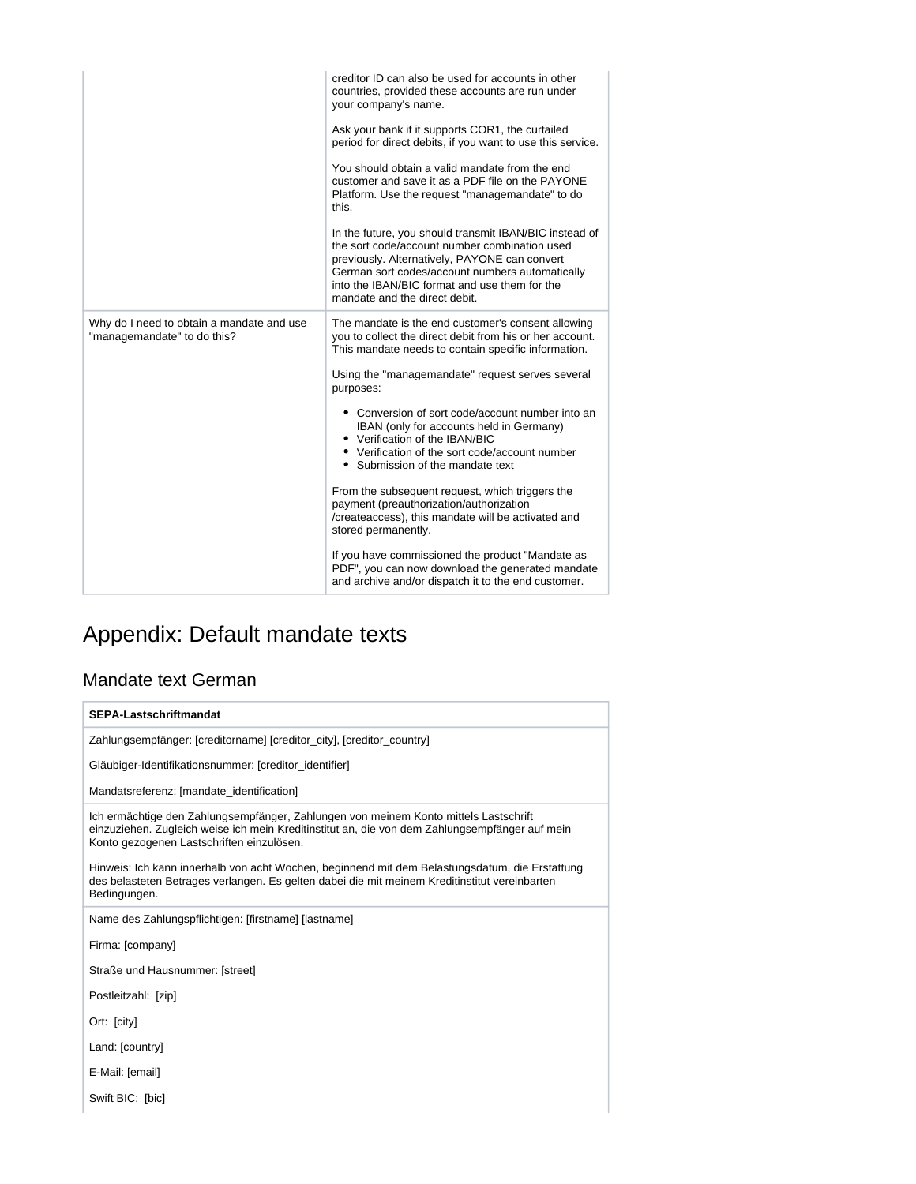|                                                                          | creditor ID can also be used for accounts in other<br>countries, provided these accounts are run under<br>your company's name.                                                                                                                                                                |
|--------------------------------------------------------------------------|-----------------------------------------------------------------------------------------------------------------------------------------------------------------------------------------------------------------------------------------------------------------------------------------------|
|                                                                          | Ask your bank if it supports COR1, the curtailed<br>period for direct debits, if you want to use this service.                                                                                                                                                                                |
|                                                                          | You should obtain a valid mandate from the end<br>customer and save it as a PDF file on the PAYONE<br>Platform. Use the request "managemandate" to do<br>this.                                                                                                                                |
|                                                                          | In the future, you should transmit IBAN/BIC instead of<br>the sort code/account number combination used<br>previously. Alternatively, PAYONE can convert<br>German sort codes/account numbers automatically<br>into the IBAN/BIC format and use them for the<br>mandate and the direct debit. |
| Why do I need to obtain a mandate and use<br>"managemandate" to do this? | The mandate is the end customer's consent allowing<br>you to collect the direct debit from his or her account.<br>This mandate needs to contain specific information.                                                                                                                         |
|                                                                          | Using the "managemandate" request serves several<br>purposes:                                                                                                                                                                                                                                 |
|                                                                          | • Conversion of sort code/account number into an<br>IBAN (only for accounts held in Germany)<br>• Verification of the IBAN/BIC<br>• Verification of the sort code/account number<br>• Submission of the mandate text                                                                          |
|                                                                          | From the subsequent request, which triggers the<br>payment (preauthorization/authorization<br>/createaccess), this mandate will be activated and<br>stored permanently.                                                                                                                       |
|                                                                          | If you have commissioned the product "Mandate as<br>PDF", you can now download the generated mandate<br>and archive and/or dispatch it to the end customer.                                                                                                                                   |

# <span id="page-6-0"></span>Appendix: Default mandate texts

# <span id="page-6-1"></span>Mandate text German

| SEPA-Lastschriftmandat                                                                                                                                                                                                              |
|-------------------------------------------------------------------------------------------------------------------------------------------------------------------------------------------------------------------------------------|
| Zahlungsempfänger: [creditorname] [creditor_city], [creditor_country]                                                                                                                                                               |
| Gläubiger-Identifikationsnummer: [creditor_identifier]                                                                                                                                                                              |
| Mandatsreferenz: [mandate_identification]                                                                                                                                                                                           |
| Ich ermächtige den Zahlungsempfänger, Zahlungen von meinem Konto mittels Lastschrift<br>einzuziehen. Zugleich weise ich mein Kreditinstitut an, die von dem Zahlungsempfänger auf mein<br>Konto gezogenen Lastschriften einzulösen. |
| Hinweis: Ich kann innerhalb von acht Wochen, beginnend mit dem Belastungsdatum, die Erstattung<br>des belasteten Betrages verlangen. Es gelten dabei die mit meinem Kreditinstitut vereinbarten<br>Bedingungen.                     |
| Name des Zahlungspflichtigen: [firstname] [lastname]                                                                                                                                                                                |
| Firma: [company]                                                                                                                                                                                                                    |
| Straße und Hausnummer: [street]                                                                                                                                                                                                     |
| Postleitzahl: [zip]                                                                                                                                                                                                                 |
| Ort: [city]                                                                                                                                                                                                                         |
| Land: [country]                                                                                                                                                                                                                     |
| E-Mail: [email]                                                                                                                                                                                                                     |
| Swift BIC: [bic]                                                                                                                                                                                                                    |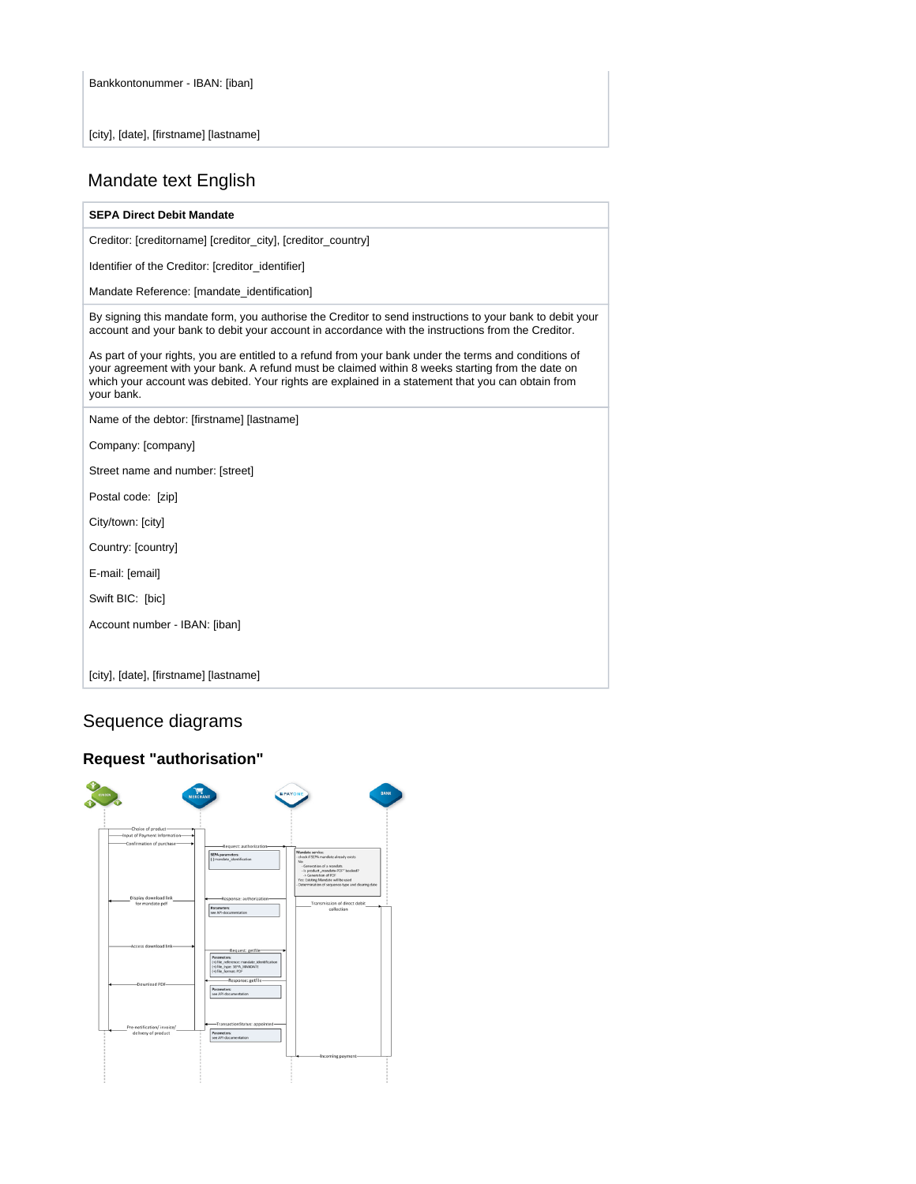[city], [date], [firstname] [lastname]

## <span id="page-7-0"></span>Mandate text English

#### **SEPA Direct Debit Mandate**

Creditor: [creditorname] [creditor\_city], [creditor\_country]

Identifier of the Creditor: [creditor\_identifier]

Mandate Reference: [mandate\_identification]

By signing this mandate form, you authorise the Creditor to send instructions to your bank to debit your account and your bank to debit your account in accordance with the instructions from the Creditor.

As part of your rights, you are entitled to a refund from your bank under the terms and conditions of your agreement with your bank. A refund must be claimed within 8 weeks starting from the date on which your account was debited. Your rights are explained in a statement that you can obtain from your bank.

Name of the debtor: [firstname] [lastname]

Company: [company]

Street name and number: [street]

Postal code: [zip]

City/town: [city]

Country: [country]

E-mail: [email]

Swift BIC: [bic]

Account number - IBAN: [iban]

[city], [date], [firstname] [lastname]

# <span id="page-7-1"></span>Sequence diagrams

### **Request "authorisation"**

<span id="page-7-3"></span><span id="page-7-2"></span>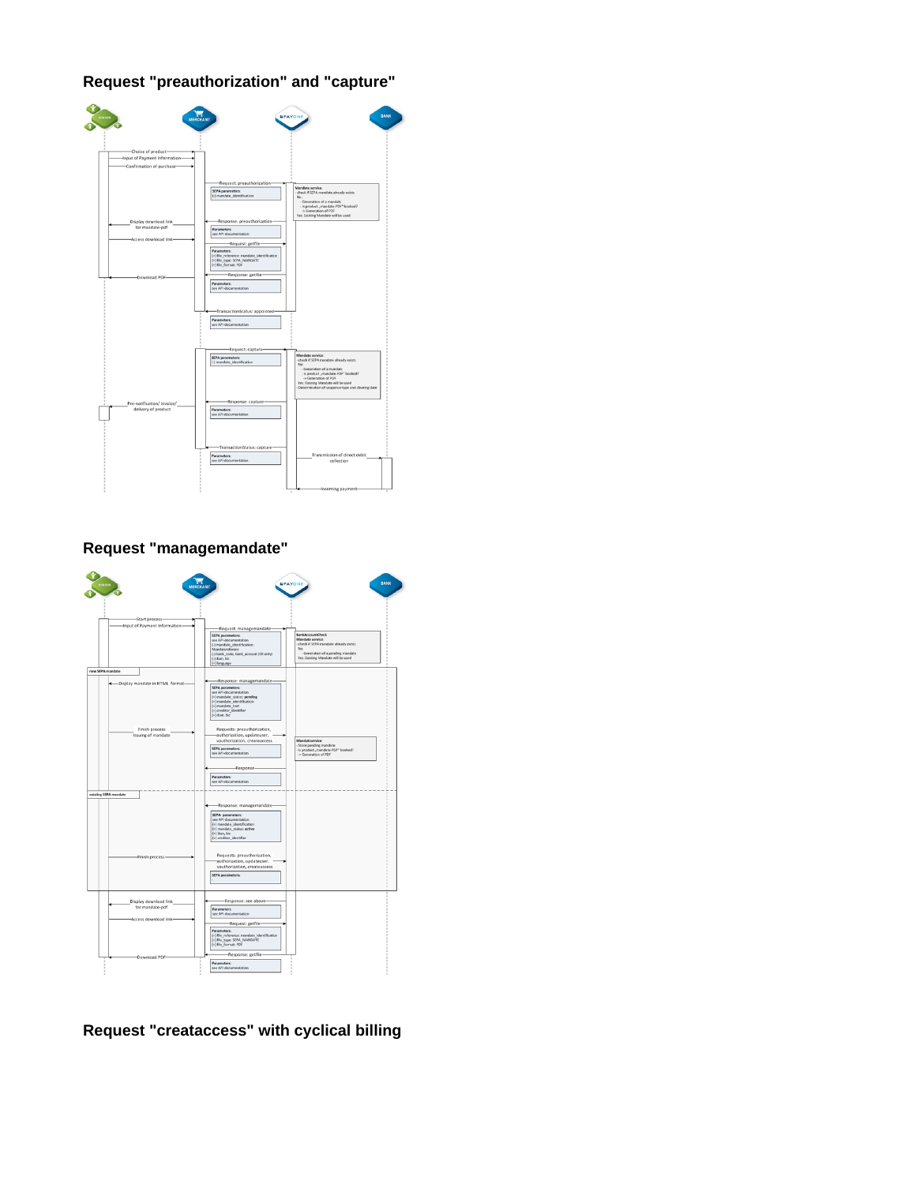**Request "preauthorization" and "capture"**

| Choice of product-                       |                                                     |                                                                                        |
|------------------------------------------|-----------------------------------------------------|----------------------------------------------------------------------------------------|
| Input of Payment Information-            |                                                     |                                                                                        |
| Confirmation of purchase-                |                                                     |                                                                                        |
|                                          |                                                     |                                                                                        |
|                                          | Request: preauthorization-                          |                                                                                        |
|                                          | SEPA parameters:                                    | Mandate service:                                                                       |
|                                          | (-) mandate_identification                          | check if SEPA mandate already exists<br>No:                                            |
|                                          |                                                     | - Generation of a mandats                                                              |
|                                          |                                                     | - Is product "mandate-PDF" booked?<br>-> Generation of PDF                             |
|                                          | Response: preauthorization-                         | Yes: Existing Mandate will be used                                                     |
| Display download link<br>for mandate-pdf | <b>Parameters:</b>                                  |                                                                                        |
|                                          | see API-documentation                               |                                                                                        |
| Access download link-                    | Request: getfile-                                   |                                                                                        |
|                                          | Parameters:                                         |                                                                                        |
|                                          | (+) file_reference: mandate_identification          |                                                                                        |
|                                          | (+) file_type: SEPA_MANDATE<br>(+) file_format: PDF |                                                                                        |
|                                          | Response: getfile-                                  |                                                                                        |
| Download PDF                             | Parameters:                                         |                                                                                        |
|                                          | see API-documentation                               |                                                                                        |
|                                          |                                                     |                                                                                        |
|                                          |                                                     |                                                                                        |
|                                          | -TransactionStatus: appointed-                      |                                                                                        |
|                                          |                                                     |                                                                                        |
|                                          | Parameters:                                         |                                                                                        |
|                                          | see API-documentation                               |                                                                                        |
|                                          |                                                     |                                                                                        |
|                                          |                                                     |                                                                                        |
|                                          | Request: capture-                                   |                                                                                        |
|                                          | SEPA parameters:                                    | Mandate service:                                                                       |
|                                          | (-) mandate_identification                          | - check if SEPA mandate already exists<br>No:                                          |
|                                          |                                                     | - Generation of a mandats<br>- Is product "mandate-PDF" booked?                        |
|                                          |                                                     | > Generation of PDF                                                                    |
|                                          |                                                     | Yes: Existing Mandate will be used<br>Determination of sequence-type and clearing date |
|                                          |                                                     |                                                                                        |
| Pre-notification/ invoice/               | Response: capture-                                  |                                                                                        |
| delivery of product                      | <b>Parameters:</b>                                  |                                                                                        |
|                                          | see API-documentation                               |                                                                                        |
|                                          |                                                     |                                                                                        |
|                                          |                                                     |                                                                                        |
|                                          |                                                     |                                                                                        |
|                                          | -TransactionStatus: capture-                        |                                                                                        |
|                                          | Parameters:                                         | Transmission of direct debit                                                           |
|                                          | see API-documentation                               | collection                                                                             |

**Request "managemandate"**

<span id="page-8-0"></span>

<span id="page-8-1"></span>**Request "creataccess" with cyclical billing**